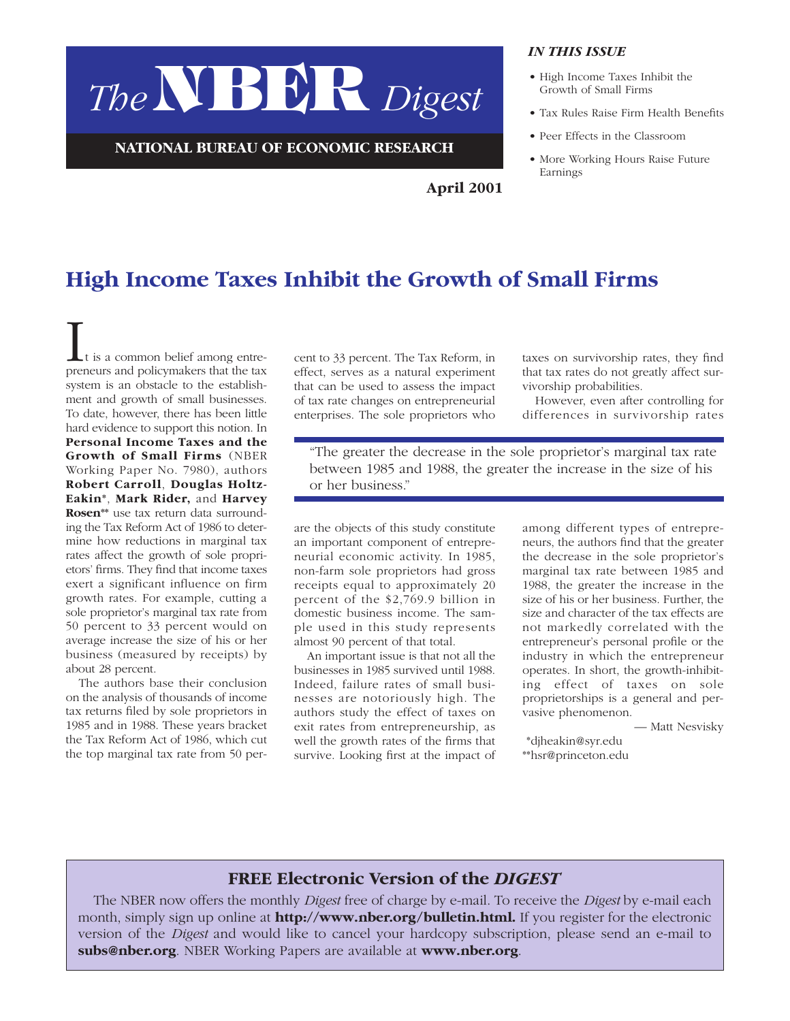# *The* NBER *Digest*

**NATIONAL BUREAU OF ECONOMIC RESEARCH**

#### *IN THIS ISSUE*

- High Income Taxes Inhibit the Growth of Small Firms
- Tax Rules Raise Firm Health Benefits
- Peer Effects in the Classroom
- More Working Hours Raise Future Earnings

## **High Income Taxes Inhibit the Growth of Small Firms**

It is a common belief among entre-preneurs and policymakers that the tax system is an obstacle to the establishment and growth of small businesses. To date, however, there has been little hard evidence to support this notion. In **Personal Income Taxes and the Growth of Small Firms** (NBER Working Paper No. 7980), authors **Robert Carroll**, **Douglas Holtz-Eakin\***, **Mark Rider,** and **Harvey Rosen\*\*** use tax return data surrounding the Tax Reform Act of 1986 to determine how reductions in marginal tax rates affect the growth of sole proprietors' firms. They find that income taxes exert a significant influence on firm growth rates. For example, cutting a sole proprietor's marginal tax rate from 50 percent to 33 percent would on average increase the size of his or her business (measured by receipts) by about 28 percent.

The authors base their conclusion on the analysis of thousands of income tax returns filed by sole proprietors in 1985 and in 1988. These years bracket the Tax Reform Act of 1986, which cut the top marginal tax rate from 50 per-

cent to 33 percent. The Tax Reform, in effect, serves as a natural experiment that can be used to assess the impact of tax rate changes on entrepreneurial enterprises. The sole proprietors who taxes on survivorship rates, they find that tax rates do not greatly affect survivorship probabilities.

However, even after controlling for differences in survivorship rates

"The greater the decrease in the sole proprietor's marginal tax rate between 1985 and 1988, the greater the increase in the size of his or her business."

**April 2001**

are the objects of this study constitute an important component of entrepreneurial economic activity. In 1985, non-farm sole proprietors had gross receipts equal to approximately 20 percent of the \$2,769.9 billion in domestic business income. The sample used in this study represents almost 90 percent of that total.

An important issue is that not all the businesses in 1985 survived until 1988. Indeed, failure rates of small businesses are notoriously high. The authors study the effect of taxes on exit rates from entrepreneurship, as well the growth rates of the firms that survive. Looking first at the impact of among different types of entrepreneurs, the authors find that the greater the decrease in the sole proprietor's marginal tax rate between 1985 and 1988, the greater the increase in the size of his or her business. Further, the size and character of the tax effects are not markedly correlated with the entrepreneur's personal profile or the industry in which the entrepreneur operates. In short, the growth-inhibiting effect of taxes on sole proprietorships is a general and pervasive phenomenon.

— Matt Nesvisky

\*\*djheakin@syr.edu \*\*hsr@princeton.edu

### **FREE Electronic Version of the** *DIGEST*

The NBER now offers the monthly *Digest* free of charge by e-mail. To receive the *Digest* by e-mail each month, simply sign up online at **http://www.nber.org/bulletin.html.** If you register for the electronic version of the *Digest* and would like to cancel your hardcopy subscription, please send an e-mail to **subs@nber.org**. NBER Working Papers are available at **www.nber.org**.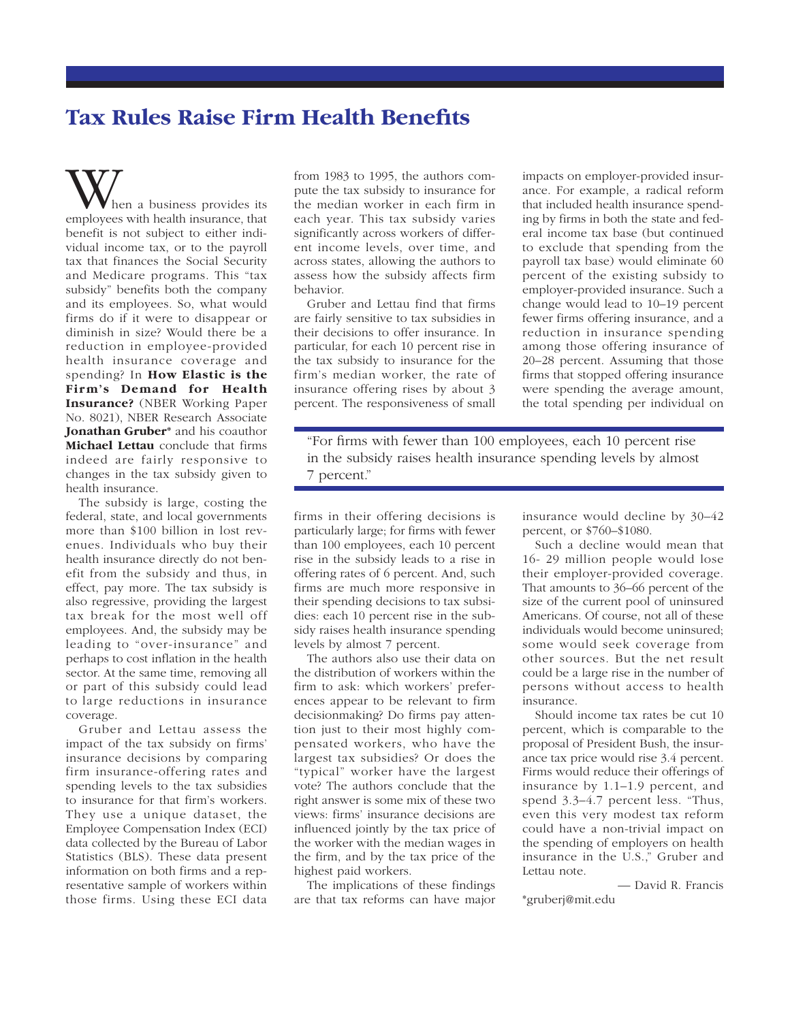## **Tax Rules Raise Firm Health Benefits**

When a business provides its employees with health insurance, that benefit is not subject to either individual income tax, or to the payroll tax that finances the Social Security and Medicare programs. This "tax subsidy" benefits both the company and its employees. So, what would firms do if it were to disappear or diminish in size? Would there be a reduction in employee-provided health insurance coverage and spending? In **How Elastic is the Firm's Demand for Health Insurance?** (NBER Working Paper No. 8021), NBER Research Associate **Jonathan Gruber\*** and his coauthor **Michael Lettau** conclude that firms indeed are fairly responsive to changes in the tax subsidy given to health insurance.

The subsidy is large, costing the federal, state, and local governments more than \$100 billion in lost revenues. Individuals who buy their health insurance directly do not benefit from the subsidy and thus, in effect, pay more. The tax subsidy is also regressive, providing the largest tax break for the most well off employees. And, the subsidy may be leading to "over-insurance" and perhaps to cost inflation in the health sector. At the same time, removing all or part of this subsidy could lead to large reductions in insurance coverage.

Gruber and Lettau assess the impact of the tax subsidy on firms' insurance decisions by comparing firm insurance-offering rates and spending levels to the tax subsidies to insurance for that firm's workers. They use a unique dataset, the Employee Compensation Index (ECI) data collected by the Bureau of Labor Statistics (BLS). These data present information on both firms and a representative sample of workers within those firms. Using these ECI data

from 1983 to 1995, the authors compute the tax subsidy to insurance for the median worker in each firm in each year. This tax subsidy varies significantly across workers of different income levels, over time, and across states, allowing the authors to assess how the subsidy affects firm behavior.

Gruber and Lettau find that firms are fairly sensitive to tax subsidies in their decisions to offer insurance. In particular, for each 10 percent rise in the tax subsidy to insurance for the firm's median worker, the rate of insurance offering rises by about 3 percent. The responsiveness of small

impacts on employer-provided insurance. For example, a radical reform that included health insurance spending by firms in both the state and federal income tax base (but continued to exclude that spending from the payroll tax base) would eliminate 60 percent of the existing subsidy to employer-provided insurance. Such a change would lead to 10–19 percent fewer firms offering insurance, and a reduction in insurance spending among those offering insurance of 20–28 percent. Assuming that those firms that stopped offering insurance were spending the average amount, the total spending per individual on

"For firms with fewer than 100 employees, each 10 percent rise in the subsidy raises health insurance spending levels by almost 7 percent."

firms in their offering decisions is particularly large; for firms with fewer than 100 employees, each 10 percent rise in the subsidy leads to a rise in offering rates of 6 percent. And, such firms are much more responsive in their spending decisions to tax subsidies: each 10 percent rise in the subsidy raises health insurance spending levels by almost 7 percent.

The authors also use their data on the distribution of workers within the firm to ask: which workers' preferences appear to be relevant to firm decisionmaking? Do firms pay attention just to their most highly compensated workers, who have the largest tax subsidies? Or does the "typical" worker have the largest vote? The authors conclude that the right answer is some mix of these two views: firms' insurance decisions are influenced jointly by the tax price of the worker with the median wages in the firm, and by the tax price of the highest paid workers.

The implications of these findings are that tax reforms can have major insurance would decline by 30–42 percent, or \$760–\$1080.

Such a decline would mean that 16- 29 million people would lose their employer-provided coverage. That amounts to 36–66 percent of the size of the current pool of uninsured Americans. Of course, not all of these individuals would become uninsured; some would seek coverage from other sources. But the net result could be a large rise in the number of persons without access to health insurance.

Should income tax rates be cut 10 percent, which is comparable to the proposal of President Bush, the insurance tax price would rise 3.4 percent. Firms would reduce their offerings of insurance by 1.1–1.9 percent, and spend 3.3–4.7 percent less. "Thus, even this very modest tax reform could have a non-trivial impact on the spending of employers on health insurance in the U.S.," Gruber and Lettau note.

— David R. Francis \*gruberj@mit.edu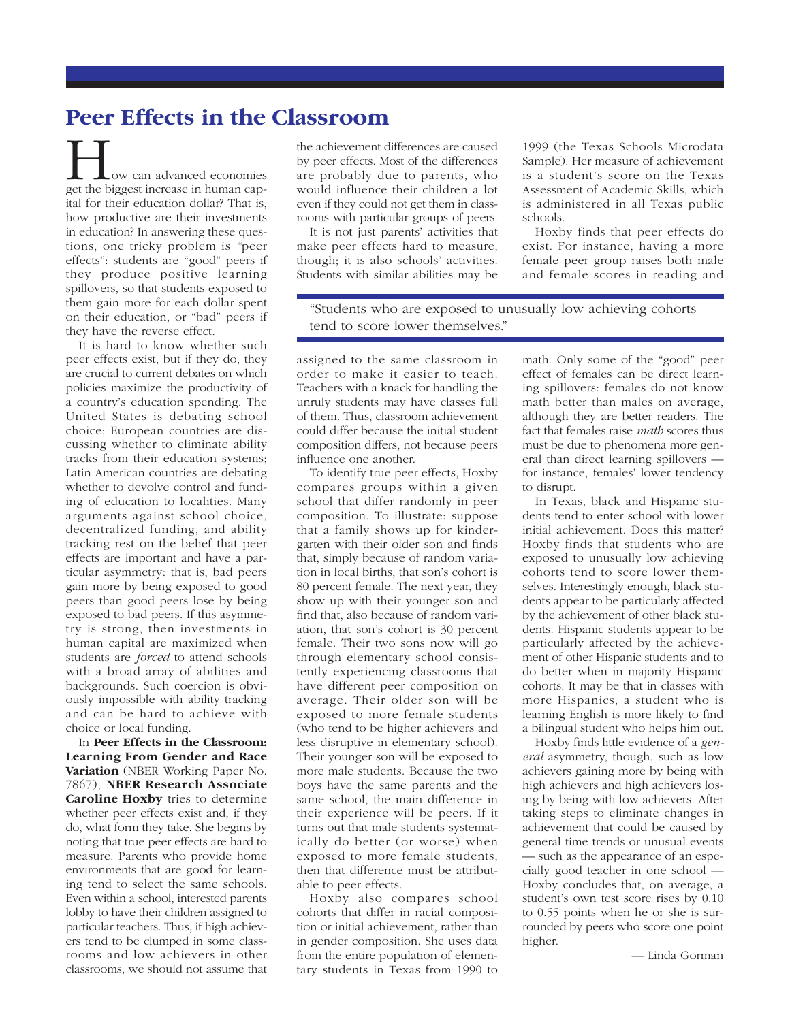## **Peer Effects in the Classroom**

How can advanced economies get the biggest increase in human capital for their education dollar? That is, how productive are their investments in education? In answering these questions, one tricky problem is *"*peer effects": students are "good" peers if they produce positive learning spillovers, so that students exposed to them gain more for each dollar spent on their education, or "bad" peers if they have the reverse effect.

It is hard to know whether such peer effects exist, but if they do, they are crucial to current debates on which policies maximize the productivity of a country's education spending. The United States is debating school choice; European countries are discussing whether to eliminate ability tracks from their education systems; Latin American countries are debating whether to devolve control and funding of education to localities. Many arguments against school choice, decentralized funding, and ability tracking rest on the belief that peer effects are important and have a particular asymmetry: that is, bad peers gain more by being exposed to good peers than good peers lose by being exposed to bad peers. If this asymmetry is strong, then investments in human capital are maximized when students are *forced* to attend schools with a broad array of abilities and backgrounds. Such coercion is obviously impossible with ability tracking and can be hard to achieve with choice or local funding.

In **Peer Effects in the Classroom: Learning From Gender and Race Variation** (NBER Working Paper No. 7867), **NBER Research Associate Caroline Hoxby** tries to determine whether peer effects exist and, if they do, what form they take. She begins by noting that true peer effects are hard to measure. Parents who provide home environments that are good for learning tend to select the same schools. Even within a school, interested parents lobby to have their children assigned to particular teachers. Thus, if high achievers tend to be clumped in some classrooms and low achievers in other classrooms, we should not assume that

the achievement differences are caused by peer effects. Most of the differences are probably due to parents, who would influence their children a lot even if they could not get them in classrooms with particular groups of peers.

It is not just parents' activities that make peer effects hard to measure, though; it is also schools' activities. Students with similar abilities may be

1999 (the Texas Schools Microdata Sample). Her measure of achievement is a student's score on the Texas Assessment of Academic Skills, which is administered in all Texas public schools.

Hoxby finds that peer effects do exist. For instance, having a more female peer group raises both male and female scores in reading and

"Students who are exposed to unusually low achieving cohorts tend to score lower themselves."

assigned to the same classroom in order to make it easier to teach. Teachers with a knack for handling the unruly students may have classes full of them. Thus, classroom achievement could differ because the initial student composition differs, not because peers influence one another.

To identify true peer effects, Hoxby compares groups within a given school that differ randomly in peer composition. To illustrate: suppose that a family shows up for kindergarten with their older son and finds that, simply because of random variation in local births, that son's cohort is 80 percent female. The next year, they show up with their younger son and find that, also because of random variation, that son's cohort is 30 percent female. Their two sons now will go through elementary school consistently experiencing classrooms that have different peer composition on average. Their older son will be exposed to more female students (who tend to be higher achievers and less disruptive in elementary school). Their younger son will be exposed to more male students. Because the two boys have the same parents and the same school, the main difference in their experience will be peers. If it turns out that male students systematically do better (or worse) when exposed to more female students, then that difference must be attributable to peer effects.

Hoxby also compares school cohorts that differ in racial composition or initial achievement, rather than in gender composition. She uses data from the entire population of elementary students in Texas from 1990 to math. Only some of the "good" peer effect of females can be direct learning spillovers: females do not know math better than males on average, although they are better readers. The fact that females raise *math* scores thus must be due to phenomena more general than direct learning spillovers for instance, females' lower tendency to disrupt.

In Texas, black and Hispanic students tend to enter school with lower initial achievement. Does this matter? Hoxby finds that students who are exposed to unusually low achieving cohorts tend to score lower themselves. Interestingly enough, black students appear to be particularly affected by the achievement of other black students. Hispanic students appear to be particularly affected by the achievement of other Hispanic students and to do better when in majority Hispanic cohorts. It may be that in classes with more Hispanics, a student who is learning English is more likely to find a bilingual student who helps him out.

Hoxby finds little evidence of a *general* asymmetry, though, such as low achievers gaining more by being with high achievers and high achievers losing by being with low achievers. After taking steps to eliminate changes in achievement that could be caused by general time trends or unusual events — such as the appearance of an especially good teacher in one school — Hoxby concludes that, on average, a student's own test score rises by 0.10 to 0.55 points when he or she is surrounded by peers who score one point higher.

— Linda Gorman